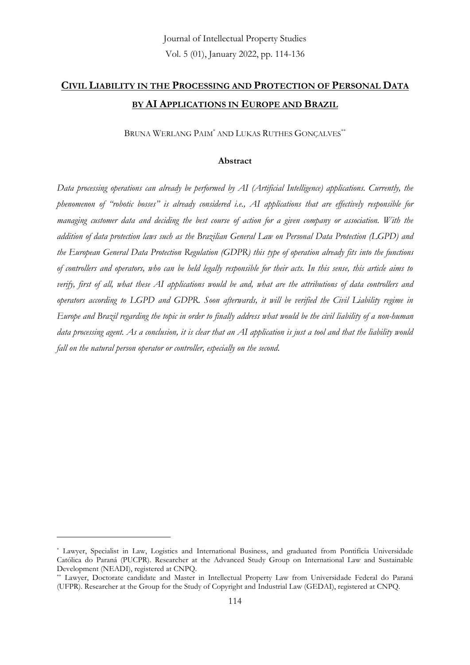# **CIVIL LIABILITY IN THE PROCESSING AND PROTECTION OF PERSONAL DATA BY AI APPLICATIONS IN EUROPE AND BRAZIL**

BRUNA WERLANG PAIM<sup>\*</sup> AND LUKAS RUTHES GONÇALVES<sup>\*\*</sup>

### **Abstract**

*Data processing operations can already be performed by AI (Artificial Intelligence) applications. Currently, the phenomenon of "robotic bosses" is already considered i.e., AI applications that are effectively responsible for managing customer data and deciding the best course of action for a given company or association. With the addition of data protection laws such as the Brazilian General Law on Personal Data Protection (LGPD) and the European General Data Protection Regulation (GDPR) this type of operation already fits into the functions of controllers and operators, who can be held legally responsible for their acts. In this sense, this article aims to verify, first of all, what these AI applications would be and, what are the attributions of data controllers and operators according to LGPD and GDPR. Soon afterwards, it will be verified the Civil Liability regime in Europe and Brazil regarding the topic in order to finally address what would be the civil liability of a non-human data processing agent. As a conclusion, it is clear that an AI application is just a tool and that the liability would fall on the natural person operator or controller, especially on the second.*

<sup>\*</sup> Lawyer, Specialist in Law, Logistics and International Business, and graduated from Pontifícia Universidade Católica do Paraná (PUCPR). Researcher at the Advanced Study Group on International Law and Sustainable Development (NEADI), registered at CNPQ.

<sup>\*\*</sup> Lawyer, Doctorate candidate and Master in Intellectual Property Law from Universidade Federal do Paraná (UFPR). Researcher at the Group for the Study of Copyright and Industrial Law (GEDAI), registered at CNPQ.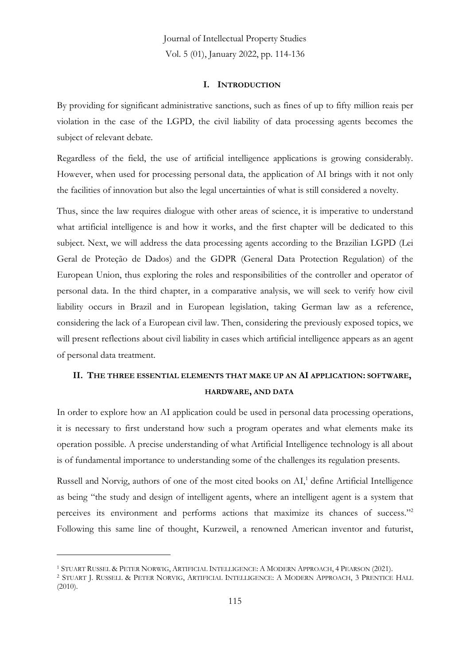#### **I. INTRODUCTION**

By providing for significant administrative sanctions, such as fines of up to fifty million reais per violation in the case of the LGPD, the civil liability of data processing agents becomes the subject of relevant debate.

Regardless of the field, the use of artificial intelligence applications is growing considerably. However, when used for processing personal data, the application of AI brings with it not only the facilities of innovation but also the legal uncertainties of what is still considered a novelty.

Thus, since the law requires dialogue with other areas of science, it is imperative to understand what artificial intelligence is and how it works, and the first chapter will be dedicated to this subject. Next, we will address the data processing agents according to the Brazilian LGPD (Lei Geral de Proteção de Dados) and the GDPR (General Data Protection Regulation) of the European Union, thus exploring the roles and responsibilities of the controller and operator of personal data. In the third chapter, in a comparative analysis, we will seek to verify how civil liability occurs in Brazil and in European legislation, taking German law as a reference, considering the lack of a European civil law. Then, considering the previously exposed topics, we will present reflections about civil liability in cases which artificial intelligence appears as an agent of personal data treatment.

### **II. THE THREE ESSENTIAL ELEMENTS THAT MAKE UP AN AI APPLICATION: SOFTWARE, HARDWARE, AND DATA**

In order to explore how an AI application could be used in personal data processing operations, it is necessary to first understand how such a program operates and what elements make its operation possible. A precise understanding of what Artificial Intelligence technology is all about is of fundamental importance to understanding some of the challenges its regulation presents.

Russell and Norvig, authors of one of the most cited books on AI,<sup>1</sup> define Artificial Intelligence as being "the study and design of intelligent agents, where an intelligent agent is a system that perceives its environment and performs actions that maximize its chances of success."<sup>2</sup> Following this same line of thought, Kurzweil, a renowned American inventor and futurist,

<sup>1</sup> STUART RUSSEL & PETER NORWIG, ARTIFICIAL INTELLIGENCE: A MODERN APPROACH, 4 PEARSON (2021).

<sup>2</sup> STUART J. RUSSELL & PETER NORVIG, ARTIFICIAL INTELLIGENCE: A MODERN APPROACH, 3 PRENTICE HALL (2010).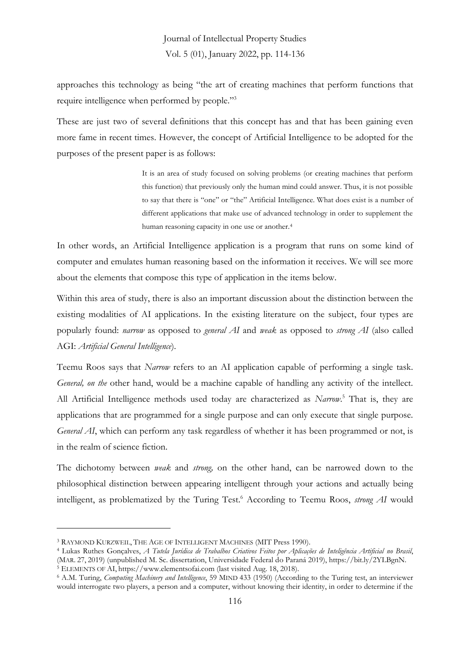approaches this technology as being "the art of creating machines that perform functions that require intelligence when performed by people."<sup>3</sup>

These are just two of several definitions that this concept has and that has been gaining even more fame in recent times. However, the concept of Artificial Intelligence to be adopted for the purposes of the present paper is as follows:

> It is an area of study focused on solving problems (or creating machines that perform this function) that previously only the human mind could answer. Thus, it is not possible to say that there is "one" or "the" Artificial Intelligence. What does exist is a number of different applications that make use of advanced technology in order to supplement the human reasoning capacity in one use or another.<sup>4</sup>

In other words, an Artificial Intelligence application is a program that runs on some kind of computer and emulates human reasoning based on the information it receives. We will see more about the elements that compose this type of application in the items below.

Within this area of study, there is also an important discussion about the distinction between the existing modalities of AI applications. In the existing literature on the subject, four types are popularly found: *narrow* as opposed to *general AI* and *weak* as opposed to *strong AI* (also called AGI: *Artificial General Intelligence*).

Teemu Roos says that *Narrow* refers to an AI application capable of performing a single task. *General, on the* other hand, would be a machine capable of handling any activity of the intellect. All Artificial Intelligence methods used today are characterized as *Narrow*. <sup>5</sup> That is, they are applications that are programmed for a single purpose and can only execute that single purpose. *General AI*, which can perform any task regardless of whether it has been programmed or not, is in the realm of science fiction.

The dichotomy between *weak* and *strong,* on the other hand, can be narrowed down to the philosophical distinction between appearing intelligent through your actions and actually being intelligent, as problematized by the Turing Test. <sup>6</sup> According to Teemu Roos, *strong AI* would

<sup>3</sup> RAYMOND KURZWEIL, THE AGE OF INTELLIGENT MACHINES (MIT Press 1990).

<sup>4</sup> Lukas Ruthes Gonçalves, *A Tutela Jurídica de Trabalhos Criativos Feitos por Aplicações de Inteligência Artificial no Brasil*, (MAR. 27, 2019) (unpublished M. Sc. dissertation, Universidade Federal do Paraná 2019), https://bit.ly/2YLBgnN. <sup>5</sup> ELEMENTS OF AI, https://www.elementsofai.com (last visited Aug. 18, 2018).

<sup>6</sup> A.M. Turing, *Computing Machinery and Intelligence*, 59 MIND 433 (1950) (According to the Turing test, an interviewer would interrogate two players, a person and a computer, without knowing their identity, in order to determine if the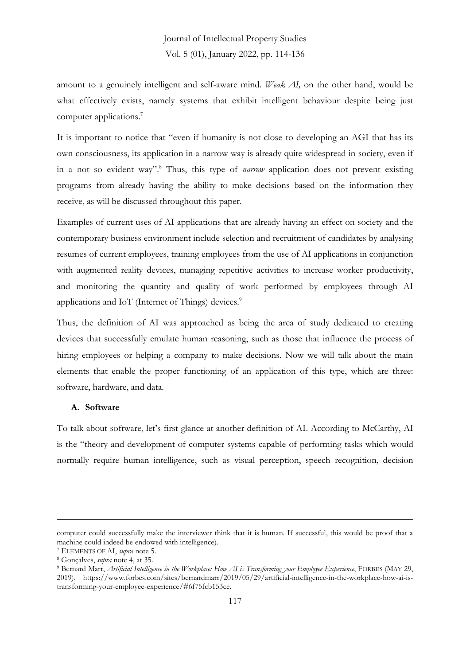amount to a genuinely intelligent and self-aware mind. *Weak AI,* on the other hand, would be what effectively exists, namely systems that exhibit intelligent behaviour despite being just computer applications.<sup>7</sup>

It is important to notice that "even if humanity is not close to developing an AGI that has its own consciousness, its application in a narrow way is already quite widespread in society, even if in a not so evident way". <sup>8</sup> Thus, this type of *narrow* application does not prevent existing programs from already having the ability to make decisions based on the information they receive, as will be discussed throughout this paper.

Examples of current uses of AI applications that are already having an effect on society and the contemporary business environment include selection and recruitment of candidates by analysing resumes of current employees, training employees from the use of AI applications in conjunction with augmented reality devices, managing repetitive activities to increase worker productivity, and monitoring the quantity and quality of work performed by employees through AI applications and IoT (Internet of Things) devices.<sup>9</sup>

Thus, the definition of AI was approached as being the area of study dedicated to creating devices that successfully emulate human reasoning, such as those that influence the process of hiring employees or helping a company to make decisions. Now we will talk about the main elements that enable the proper functioning of an application of this type, which are three: software, hardware, and data.

### **A. Software**

To talk about software, let's first glance at another definition of AI. According to McCarthy, AI is the "theory and development of computer systems capable of performing tasks which would normally require human intelligence, such as visual perception, speech recognition, decision

computer could successfully make the interviewer think that it is human. If successful, this would be proof that a machine could indeed be endowed with intelligence).

<sup>7</sup> ELEMENTS OF AI, *supra* note 5.

<sup>8</sup> Gonçalves, *supra* note 4, at 35.

<sup>9</sup> Bernard Marr, *Artificial Intelligence in the Workplace: How AI is Transforming your Employee Experience*, FORBES (MAY 29, 2019), https://www.forbes.com/sites/bernardmarr/2019/05/29/artificial-intelligence-in-the-workplace-how-ai-istransforming-your-employee-experience/#6f75fcb153ce.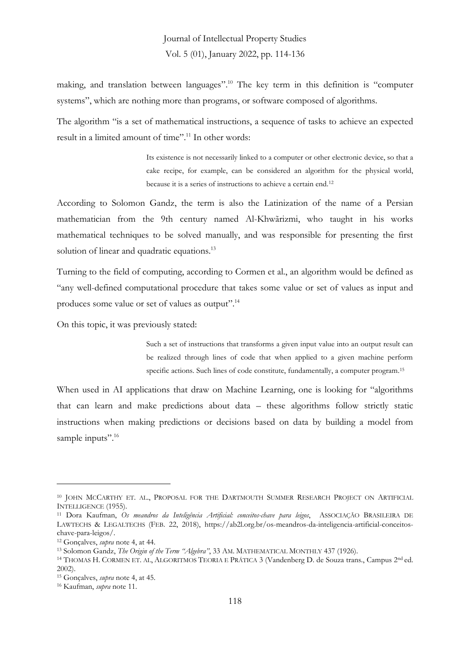making, and translation between languages". <sup>10</sup> The key term in this definition is "computer systems", which are nothing more than programs, or software composed of algorithms.

The algorithm "is a set of mathematical instructions, a sequence of tasks to achieve an expected result in a limited amount of time". <sup>11</sup> In other words:

> Its existence is not necessarily linked to a computer or other electronic device, so that a cake recipe, for example, can be considered an algorithm for the physical world, because it is a series of instructions to achieve a certain end.<sup>12</sup>

According to Solomon Gandz, the term is also the Latinization of the name of a Persian mathematician from the 9th century named Al-Khwãrizmi, who taught in his works mathematical techniques to be solved manually, and was responsible for presenting the first solution of linear and quadratic equations.<sup>13</sup>

Turning to the field of computing, according to Cormen et al., an algorithm would be defined as "any well-defined computational procedure that takes some value or set of values as input and produces some value or set of values as output".<sup>14</sup>

On this topic, it was previously stated:

Such a set of instructions that transforms a given input value into an output result can be realized through lines of code that when applied to a given machine perform specific actions. Such lines of code constitute, fundamentally, a computer program. 15

When used in AI applications that draw on Machine Learning, one is looking for "algorithms that can learn and make predictions about data – these algorithms follow strictly static instructions when making predictions or decisions based on data by building a model from sample inputs".<sup>16</sup>

<sup>&</sup>lt;sup>10</sup> JOHN MCCARTHY ET. AL., PROPOSAL FOR THE DARTMOUTH SUMMER RESEARCH PROJECT ON ARTIFICIAL INTELLIGENCE (1955).

<sup>11</sup> Dora Kaufman, *Os meandros da Inteligência Artificial: conceitos-chave para leigos*, ASSOCIAÇÃO BRASILEIRA DE LAWTECHS & LEGALTECHS (FEB. 22, 2018), https://ab2l.org.br/os-meandros-da-inteligencia-artificial-conceitoschave-para-leigos/.

<sup>12</sup> Gonçalves, *supra* note 4, at 44.

<sup>13</sup> Solomon Gandz, *The Origin of the Term "Algebra"*, 33 AM. MATHEMATICAL MONTHLY 437 (1926).

<sup>&</sup>lt;sup>14</sup> THOMAS H. CORMEN ET. AL, ALGORITMOS TEORIA E PRÁTICA 3 (Vandenberg D. de Souza trans., Campus 2<sup>nd</sup> ed. 2002).

<sup>15</sup> Gonçalves, *supra* note 4, at 45.

<sup>16</sup> Kaufman, *supra* note 11.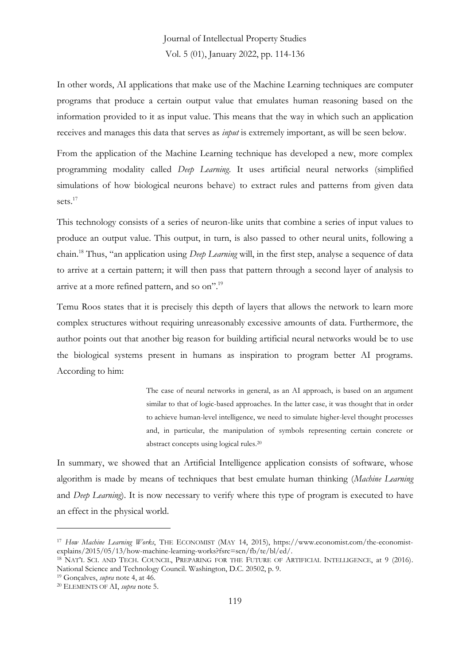In other words, AI applications that make use of the Machine Learning techniques are computer programs that produce a certain output value that emulates human reasoning based on the information provided to it as input value. This means that the way in which such an application receives and manages this data that serves as *input* is extremely important, as will be seen below.

From the application of the Machine Learning technique has developed a new, more complex programming modality called *Deep Learning*. It uses artificial neural networks (simplified simulations of how biological neurons behave) to extract rules and patterns from given data sets.<sup>17</sup>

This technology consists of a series of neuron-like units that combine a series of input values to produce an output value. This output, in turn, is also passed to other neural units, following a chain. <sup>18</sup> Thus, "an application using *Deep Learning* will, in the first step, analyse a sequence of data to arrive at a certain pattern; it will then pass that pattern through a second layer of analysis to arrive at a more refined pattern, and so on".<sup>19</sup>

Temu Roos states that it is precisely this depth of layers that allows the network to learn more complex structures without requiring unreasonably excessive amounts of data. Furthermore, the author points out that another big reason for building artificial neural networks would be to use the biological systems present in humans as inspiration to program better AI programs. According to him:

> The case of neural networks in general, as an AI approach, is based on an argument similar to that of logic-based approaches. In the latter case, it was thought that in order to achieve human-level intelligence, we need to simulate higher-level thought processes and, in particular, the manipulation of symbols representing certain concrete or abstract concepts using logical rules.<sup>20</sup>

In summary, we showed that an Artificial Intelligence application consists of software, whose algorithm is made by means of techniques that best emulate human thinking (*Machine Learning*  and *Deep Learning*). It is now necessary to verify where this type of program is executed to have an effect in the physical world.

<sup>17</sup> *How Machine Learning Works*, THE ECONOMIST (MAY 14, 2015), https://www.economist.com/the-economistexplains/2015/05/13/how-machine-learning-works?fsrc=scn/fb/te/bl/ed/.

<sup>&</sup>lt;sup>18</sup> NAT'L SCI. AND TECH. COUNCIL, PREPARING FOR THE FUTURE OF ARTIFICIAL INTELLIGENCE, at 9 (2016). National Science and Technology Council. Washington, D.C. 20502, p. 9.

<sup>19</sup> Gonçalves, *supra* note 4, at 46.

<sup>20</sup> ELEMENTS OF AI, *supra* note 5.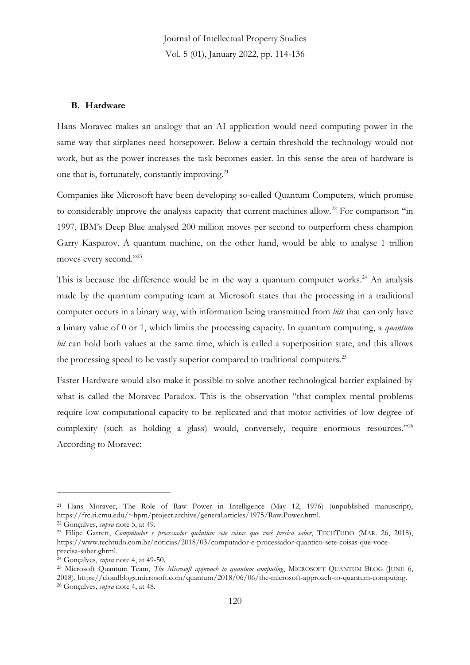#### **B. Hardware**

Hans Moravec makes an analogy that an AI application would need computing power in the same way that airplanes need horsepower. Below a certain threshold the technology would not work, but as the power increases the task becomes easier. In this sense the area of hardware is one that is, fortunately, constantly improving.<sup>21</sup>

Companies like Microsoft have been developing so-called Quantum Computers, which promise to considerably improve the analysis capacity that current machines allow.<sup>22</sup> For comparison "in 1997, IBM's Deep Blue analysed 200 million moves per second to outperform chess champion Garry Kasparov. A quantum machine, on the other hand, would be able to analyse 1 trillion moves every second." 23

This is because the difference would be in the way a quantum computer works.<sup>24</sup> An analysis made by the quantum computing team at Microsoft states that the processing in a traditional computer occurs in a binary way, with information being transmitted from *bits* that can only have a binary value of 0 or 1, which limits the processing capacity. In quantum computing, a *quantum bit* can hold both values at the same time, which is called a superposition state, and this allows the processing speed to be vastly superior compared to traditional computers.<sup>25</sup>

Faster Hardware would also make it possible to solve another technological barrier explained by what is called the Moravec Paradox. This is the observation "that complex mental problems require low computational capacity to be replicated and that motor activities of low degree of complexity (such as holding a glass) would, conversely, require enormous resources."26 According to Moravec:

<sup>21</sup> Hans Moravec, The Role of Raw Power in Intelligence (May 12, 1976) (unpublished manuscript), https://frc.ri.cmu.edu/~hpm/project.archive/general.articles/1975/Raw.Power.html.

<sup>22</sup> Gonçalves, *supra* note 5, at 49.

<sup>23</sup> Filipe Garrett, *Computador e processador quântico: sete coisas que você precisa saber*, TECHTUDO (MAR. 26, 2018), https://www.techtudo.com.br/noticias/2018/03/computador-e-processador-quantico-sete-coisas-que-voceprecisa-saber.ghtml.

<sup>24</sup> Gonçalves, *supra* note 4, at 49-50.

<sup>&</sup>lt;sup>25</sup> Microsoft Quantum Team, *The Microsoft approach to quantum computing*, MICROSOFT QUANTUM BLOG (JUNE 6,

<sup>2018),</sup> https://cloudblogs.microsoft.com/quantum/2018/06/06/the-microsoft-approach-to-quantum-computing. <sup>26</sup> Gonçalves, *supra* note 4, at 48.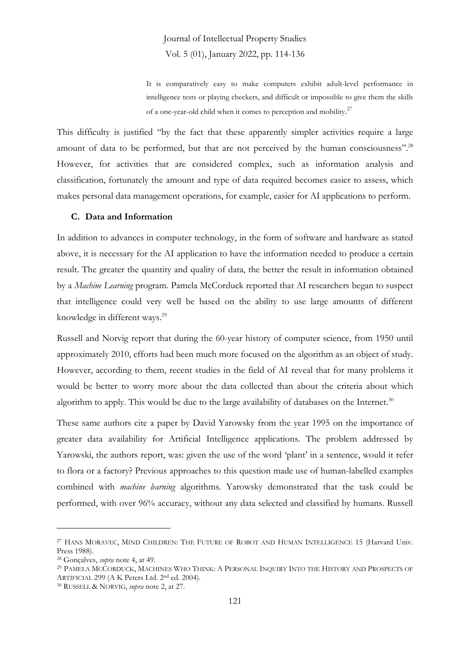It is comparatively easy to make computers exhibit adult-level performance in intelligence tests or playing checkers, and difficult or impossible to give them the skills of a one-year-old child when it comes to perception and mobility.<sup>27</sup>

This difficulty is justified "by the fact that these apparently simpler activities require a large amount of data to be performed, but that are not perceived by the human consciousness".<sup>28</sup> However, for activities that are considered complex, such as information analysis and classification, fortunately the amount and type of data required becomes easier to assess, which makes personal data management operations, for example, easier for AI applications to perform.

#### **C. Data and Information**

In addition to advances in computer technology, in the form of software and hardware as stated above, it is necessary for the AI application to have the information needed to produce a certain result. The greater the quantity and quality of data, the better the result in information obtained by a *Machine Learning* program. Pamela McCorduck reported that AI researchers began to suspect that intelligence could very well be based on the ability to use large amounts of different knowledge in different ways.<sup>29</sup>

Russell and Norvig report that during the 60-year history of computer science, from 1950 until approximately 2010, efforts had been much more focused on the algorithm as an object of study. However, according to them, recent studies in the field of AI reveal that for many problems it would be better to worry more about the data collected than about the criteria about which algorithm to apply. This would be due to the large availability of databases on the Internet.<sup>30</sup>

These same authors cite a paper by David Yarowsky from the year 1995 on the importance of greater data availability for Artificial Intelligence applications. The problem addressed by Yarowski, the authors report, was: given the use of the word 'plant' in a sentence, would it refer to flora or a factory? Previous approaches to this question made use of human-labelled examples combined with *machine learning* algorithms. Yarowsky demonstrated that the task could be performed, with over 96% accuracy, without any data selected and classified by humans. Russell

<sup>27</sup> HANS MORAVEC, MIND CHILDREN: THE FUTURE OF ROBOT AND HUMAN INTELLIGENCE 15 (Harvard Univ. Press 1988).

<sup>28</sup> Gonçalves, *supra* note 4, at 49.

<sup>29</sup> PAMELA MCCORDUCK, MACHINES WHO THINK: A PERSONAL INQUIRY INTO THE HISTORY AND PROSPECTS OF ARTIFICIAL 299 (A K Peters Ltd. 2<sup>nd</sup> ed. 2004).

<sup>30</sup> RUSSELL & NORVIG, *supra* note 2, at 27.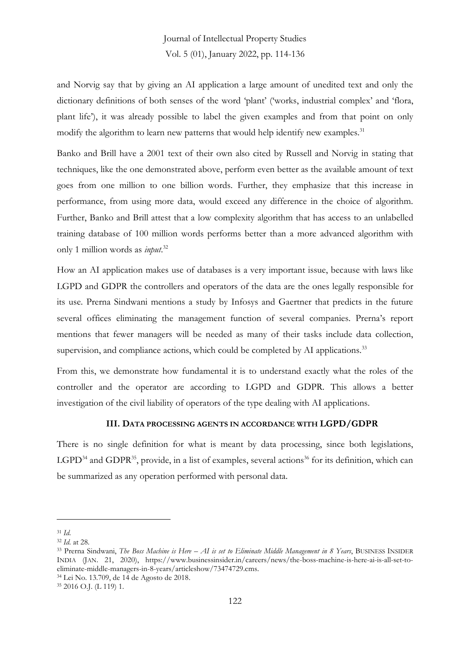and Norvig say that by giving an AI application a large amount of unedited text and only the dictionary definitions of both senses of the word 'plant' ('works, industrial complex' and 'flora, plant life'), it was already possible to label the given examples and from that point on only modify the algorithm to learn new patterns that would help identify new examples.<sup>31</sup>

Banko and Brill have a 2001 text of their own also cited by Russell and Norvig in stating that techniques, like the one demonstrated above, perform even better as the available amount of text goes from one million to one billion words. Further, they emphasize that this increase in performance, from using more data, would exceed any difference in the choice of algorithm. Further, Banko and Brill attest that a low complexity algorithm that has access to an unlabelled training database of 100 million words performs better than a more advanced algorithm with only 1 million words as *input*. 32

How an AI application makes use of databases is a very important issue, because with laws like LGPD and GDPR the controllers and operators of the data are the ones legally responsible for its use. Prerna Sindwani mentions a study by Infosys and Gaertner that predicts in the future several offices eliminating the management function of several companies. Prerna's report mentions that fewer managers will be needed as many of their tasks include data collection, supervision, and compliance actions, which could be completed by AI applications.<sup>33</sup>

From this, we demonstrate how fundamental it is to understand exactly what the roles of the controller and the operator are according to LGPD and GDPR. This allows a better investigation of the civil liability of operators of the type dealing with AI applications.

#### **III. DATA PROCESSING AGENTS IN ACCORDANCE WITH LGPD/GDPR**

There is no single definition for what is meant by data processing, since both legislations, LGPD<sup>34</sup> and GDPR<sup>35</sup>, provide, in a list of examples, several actions<sup>36</sup> for its definition, which can be summarized as any operation performed with personal data.

<sup>34</sup> Lei No. 13.709, de 14 de Agosto de 2018.

<sup>31</sup> *Id.*

<sup>32</sup> *Id.* at 28.

<sup>33</sup> Prerna Sindwani, *The Boss Machine is Here – AI is set to Eliminate Middle Management in 8 Years*, BUSINESS INSIDER INDIA (JAN. 21, 2020), https://www.businessinsider.in/careers/news/the-boss-machine-is-here-ai-is-all-set-toeliminate-middle-managers-in-8-years/articleshow/73474729.cms.

<sup>35</sup> 2016 O.J. (L 119) 1.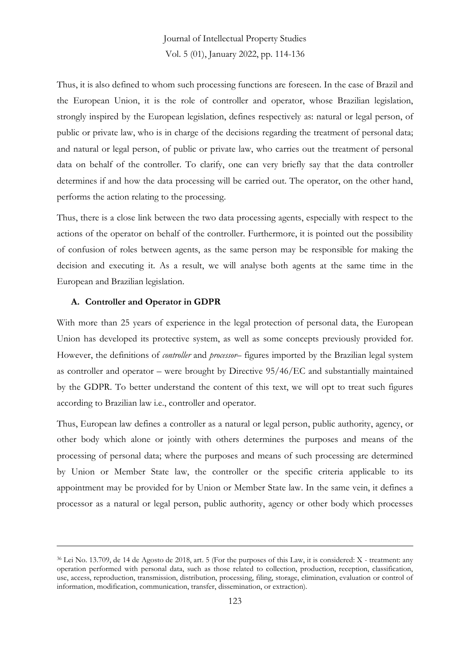Thus, it is also defined to whom such processing functions are foreseen. In the case of Brazil and the European Union, it is the role of controller and operator, whose Brazilian legislation, strongly inspired by the European legislation, defines respectively as: natural or legal person, of public or private law, who is in charge of the decisions regarding the treatment of personal data; and natural or legal person, of public or private law, who carries out the treatment of personal data on behalf of the controller. To clarify, one can very briefly say that the data controller determines if and how the data processing will be carried out. The operator, on the other hand, performs the action relating to the processing.

Thus, there is a close link between the two data processing agents, especially with respect to the actions of the operator on behalf of the controller. Furthermore, it is pointed out the possibility of confusion of roles between agents, as the same person may be responsible for making the decision and executing it. As a result, we will analyse both agents at the same time in the European and Brazilian legislation.

#### **A. Controller and Operator in GDPR**

With more than 25 years of experience in the legal protection of personal data, the European Union has developed its protective system, as well as some concepts previously provided for. However, the definitions of *controller* and *processor*– figures imported by the Brazilian legal system as controller and operator – were brought by Directive 95/46/EC and substantially maintained by the GDPR. To better understand the content of this text, we will opt to treat such figures according to Brazilian law i.e., controller and operator.

Thus, European law defines a controller as a natural or legal person, public authority, agency, or other body which alone or jointly with others determines the purposes and means of the processing of personal data; where the purposes and means of such processing are determined by Union or Member State law, the controller or the specific criteria applicable to its appointment may be provided for by Union or Member State law. In the same vein, it defines a processor as a natural or legal person, public authority, agency or other body which processes

<sup>36</sup> Lei No. 13.709, de 14 de Agosto de 2018, art. 5 (For the purposes of this Law, it is considered: X - treatment: any operation performed with personal data, such as those related to collection, production, reception, classification, use, access, reproduction, transmission, distribution, processing, filing, storage, elimination, evaluation or control of information, modification, communication, transfer, dissemination, or extraction).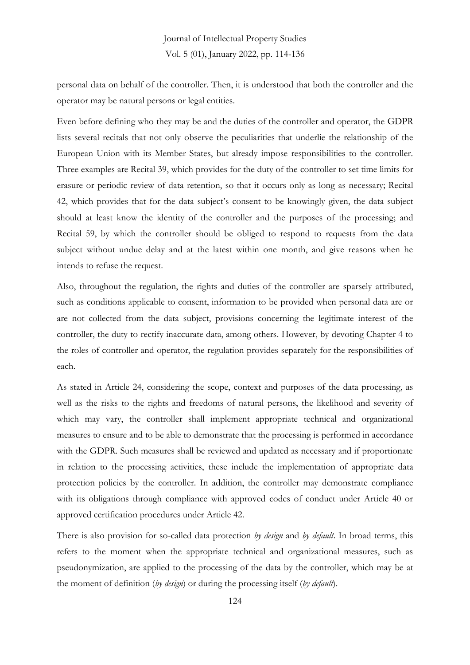personal data on behalf of the controller. Then, it is understood that both the controller and the operator may be natural persons or legal entities.

Even before defining who they may be and the duties of the controller and operator, the GDPR lists several recitals that not only observe the peculiarities that underlie the relationship of the European Union with its Member States, but already impose responsibilities to the controller. Three examples are Recital 39, which provides for the duty of the controller to set time limits for erasure or periodic review of data retention, so that it occurs only as long as necessary; Recital 42, which provides that for the data subject's consent to be knowingly given, the data subject should at least know the identity of the controller and the purposes of the processing; and Recital 59, by which the controller should be obliged to respond to requests from the data subject without undue delay and at the latest within one month, and give reasons when he intends to refuse the request.

Also, throughout the regulation, the rights and duties of the controller are sparsely attributed, such as conditions applicable to consent, information to be provided when personal data are or are not collected from the data subject, provisions concerning the legitimate interest of the controller, the duty to rectify inaccurate data, among others. However, by devoting Chapter 4 to the roles of controller and operator, the regulation provides separately for the responsibilities of each.

As stated in Article 24, considering the scope, context and purposes of the data processing, as well as the risks to the rights and freedoms of natural persons, the likelihood and severity of which may vary, the controller shall implement appropriate technical and organizational measures to ensure and to be able to demonstrate that the processing is performed in accordance with the GDPR. Such measures shall be reviewed and updated as necessary and if proportionate in relation to the processing activities, these include the implementation of appropriate data protection policies by the controller. In addition, the controller may demonstrate compliance with its obligations through compliance with approved codes of conduct under Article 40 or approved certification procedures under Article 42.

There is also provision for so-called data protection *by design* and *by default*. In broad terms, this refers to the moment when the appropriate technical and organizational measures, such as pseudonymization, are applied to the processing of the data by the controller, which may be at the moment of definition (*by design*) or during the processing itself (*by default*).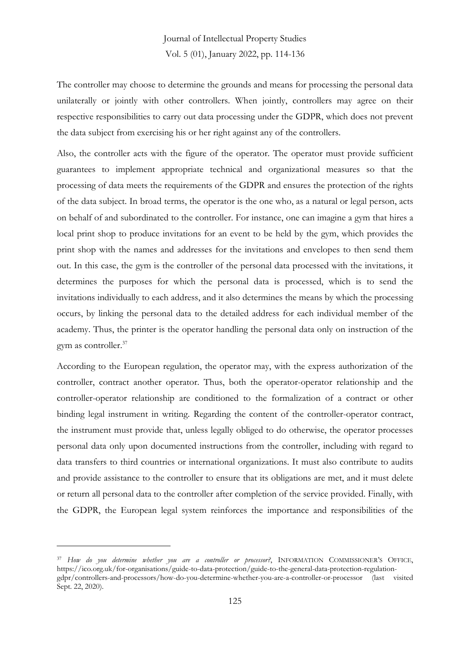The controller may choose to determine the grounds and means for processing the personal data unilaterally or jointly with other controllers. When jointly, controllers may agree on their respective responsibilities to carry out data processing under the GDPR, which does not prevent the data subject from exercising his or her right against any of the controllers.

Also, the controller acts with the figure of the operator. The operator must provide sufficient guarantees to implement appropriate technical and organizational measures so that the processing of data meets the requirements of the GDPR and ensures the protection of the rights of the data subject. In broad terms, the operator is the one who, as a natural or legal person, acts on behalf of and subordinated to the controller. For instance, one can imagine a gym that hires a local print shop to produce invitations for an event to be held by the gym, which provides the print shop with the names and addresses for the invitations and envelopes to then send them out. In this case, the gym is the controller of the personal data processed with the invitations, it determines the purposes for which the personal data is processed, which is to send the invitations individually to each address, and it also determines the means by which the processing occurs, by linking the personal data to the detailed address for each individual member of the academy. Thus, the printer is the operator handling the personal data only on instruction of the gym as controller.<sup>37</sup>

According to the European regulation, the operator may, with the express authorization of the controller, contract another operator. Thus, both the operator-operator relationship and the controller-operator relationship are conditioned to the formalization of a contract or other binding legal instrument in writing. Regarding the content of the controller-operator contract, the instrument must provide that, unless legally obliged to do otherwise, the operator processes personal data only upon documented instructions from the controller, including with regard to data transfers to third countries or international organizations. It must also contribute to audits and provide assistance to the controller to ensure that its obligations are met, and it must delete or return all personal data to the controller after completion of the service provided. Finally, with the GDPR, the European legal system reinforces the importance and responsibilities of the

<sup>37</sup> *How do you determine whether you are a controller or processor?*, INFORMATION COMMISSIONER'S OFFICE, https://ico.org.uk/for-organisations/guide-to-data-protection/guide-to-the-general-data-protection-regulationgdpr/controllers-and-processors/how-do-you-determine-whether-you-are-a-controller-or-processor (last visited Sept. 22, 2020).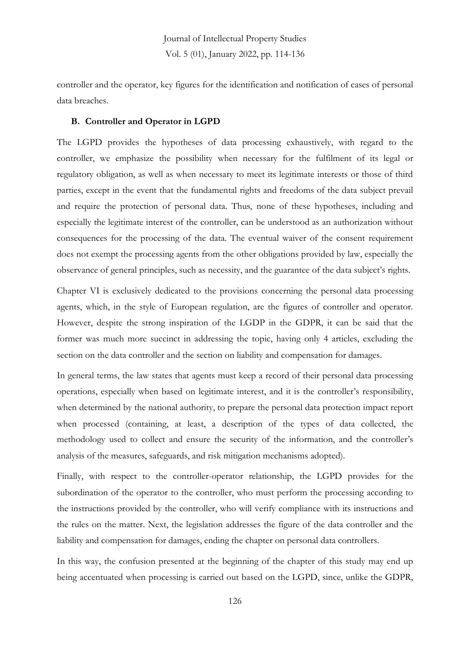controller and the operator, key figures for the identification and notification of cases of personal data breaches.

#### **B. Controller and Operator in LGPD**

The LGPD provides the hypotheses of data processing exhaustively, with regard to the controller, we emphasize the possibility when necessary for the fulfilment of its legal or regulatory obligation, as well as when necessary to meet its legitimate interests or those of third parties, except in the event that the fundamental rights and freedoms of the data subject prevail and require the protection of personal data. Thus, none of these hypotheses, including and especially the legitimate interest of the controller, can be understood as an authorization without consequences for the processing of the data. The eventual waiver of the consent requirement does not exempt the processing agents from the other obligations provided by law, especially the observance of general principles, such as necessity, and the guarantee of the data subject's rights.

Chapter VI is exclusively dedicated to the provisions concerning the personal data processing agents, which, in the style of European regulation, are the figures of controller and operator. However, despite the strong inspiration of the LGDP in the GDPR, it can be said that the former was much more succinct in addressing the topic, having only 4 articles, excluding the section on the data controller and the section on liability and compensation for damages.

In general terms, the law states that agents must keep a record of their personal data processing operations, especially when based on legitimate interest, and it is the controller's responsibility, when determined by the national authority, to prepare the personal data protection impact report when processed (containing, at least, a description of the types of data collected, the methodology used to collect and ensure the security of the information, and the controller's analysis of the measures, safeguards, and risk mitigation mechanisms adopted).

Finally, with respect to the controller-operator relationship, the LGPD provides for the subordination of the operator to the controller, who must perform the processing according to the instructions provided by the controller, who will verify compliance with its instructions and the rules on the matter. Next, the legislation addresses the figure of the data controller and the liability and compensation for damages, ending the chapter on personal data controllers.

In this way, the confusion presented at the beginning of the chapter of this study may end up being accentuated when processing is carried out based on the LGPD, since, unlike the GDPR,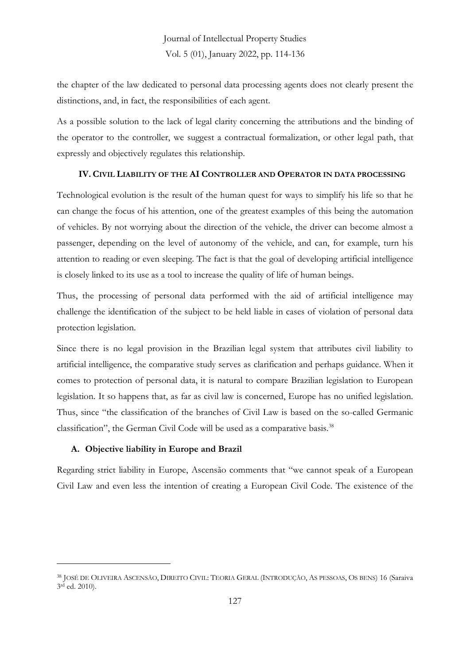the chapter of the law dedicated to personal data processing agents does not clearly present the distinctions, and, in fact, the responsibilities of each agent.

As a possible solution to the lack of legal clarity concerning the attributions and the binding of the operator to the controller, we suggest a contractual formalization, or other legal path, that expressly and objectively regulates this relationship.

### **IV. CIVIL LIABILITY OF THE AI CONTROLLER AND OPERATOR IN DATA PROCESSING**

Technological evolution is the result of the human quest for ways to simplify his life so that he can change the focus of his attention, one of the greatest examples of this being the automation of vehicles. By not worrying about the direction of the vehicle, the driver can become almost a passenger, depending on the level of autonomy of the vehicle, and can, for example, turn his attention to reading or even sleeping. The fact is that the goal of developing artificial intelligence is closely linked to its use as a tool to increase the quality of life of human beings.

Thus, the processing of personal data performed with the aid of artificial intelligence may challenge the identification of the subject to be held liable in cases of violation of personal data protection legislation.

Since there is no legal provision in the Brazilian legal system that attributes civil liability to artificial intelligence, the comparative study serves as clarification and perhaps guidance. When it comes to protection of personal data, it is natural to compare Brazilian legislation to European legislation. It so happens that, as far as civil law is concerned, Europe has no unified legislation. Thus, since "the classification of the branches of Civil Law is based on the so-called Germanic classification", the German Civil Code will be used as a comparative basis.<sup>38</sup>

### **A. Objective liability in Europe and Brazil**

Regarding strict liability in Europe, Ascensão comments that "we cannot speak of a European Civil Law and even less the intention of creating a European Civil Code. The existence of the

<sup>38</sup> JOSÉ DE OLIVEIRA ASCENSÃO, DIREITO CIVIL: TEORIA GERAL (INTRODUÇÃO, AS PESSOAS, OS BENS) 16 (Saraiva 3 rd ed. 2010).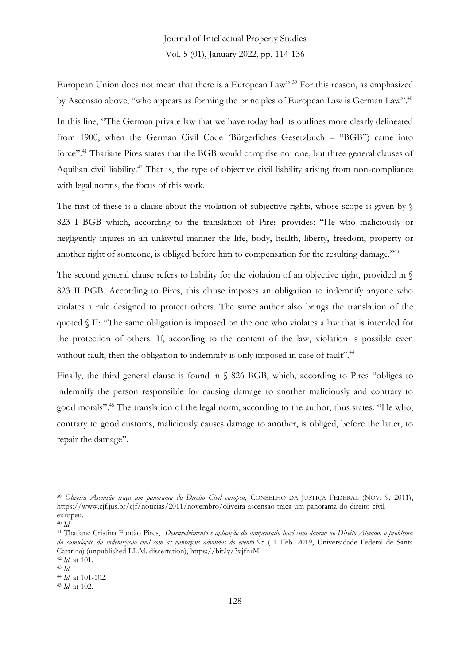European Union does not mean that there is a European Law". <sup>39</sup> For this reason, as emphasized by Ascensão above, "who appears as forming the principles of European Law is German Law".<sup>40</sup>

In this line, "The German private law that we have today had its outlines more clearly delineated from 1900, when the German Civil Code (Bürgerliches Gesetzbuch – "BGB") came into force". <sup>41</sup> Thatiane Pires states that the BGB would comprise not one, but three general clauses of Aquilian civil liability.<sup>42</sup> That is, the type of objective civil liability arising from non-compliance with legal norms, the focus of this work.

The first of these is a clause about the violation of subjective rights, whose scope is given by  $\sqrt{s}$ 823 I BGB which, according to the translation of Pires provides: "He who maliciously or negligently injures in an unlawful manner the life, body, health, liberty, freedom, property or another right of someone, is obliged before him to compensation for the resulting damage."<sup>43</sup>

The second general clause refers to liability for the violation of an objective right, provided in  $\mathcal S$ 823 II BGB. According to Pires, this clause imposes an obligation to indemnify anyone who violates a rule designed to protect others. The same author also brings the translation of the quoted § II: "The same obligation is imposed on the one who violates a law that is intended for the protection of others. If, according to the content of the law, violation is possible even without fault, then the obligation to indemnify is only imposed in case of fault".<sup>44</sup>

Finally, the third general clause is found in § 826 BGB, which, according to Pires "obliges to indemnify the person responsible for causing damage to another maliciously and contrary to good morals". <sup>45</sup> The translation of the legal norm, according to the author, thus states: "He who, contrary to good customs, maliciously causes damage to another, is obliged, before the latter, to repair the damage".

<sup>39</sup> *Oliveira Ascensão traça um panorama do Direito Civil europeu,* CONSELHO DA JUSTIÇA FEDERAL (NOV. 9, 2011), https://www.cjf.jus.br/cjf/noticias/2011/novembro/oliveira-ascensao-traca-um-panorama-do-direito-civileuropeu.

<sup>40</sup> *Id.*

<sup>41</sup> Thatiane Cristina Fontão Pires, *Desenvolvimento e aplicação da compensatio lucri cum damno no Direito Alemão: o problema da cumulação da indenização civil com as vantagens advindas do evento* 95 (11 Feb. 2019, Universidade Federal de Santa Catarina) (unpublished LL.M. dissertation), https://bit.ly/3vjfnrM.

<sup>42</sup> *Id.* at 101.

<sup>43</sup> *Id.*

<sup>44</sup> *Id.* at 101-102.

<sup>45</sup> *Id.* at 102.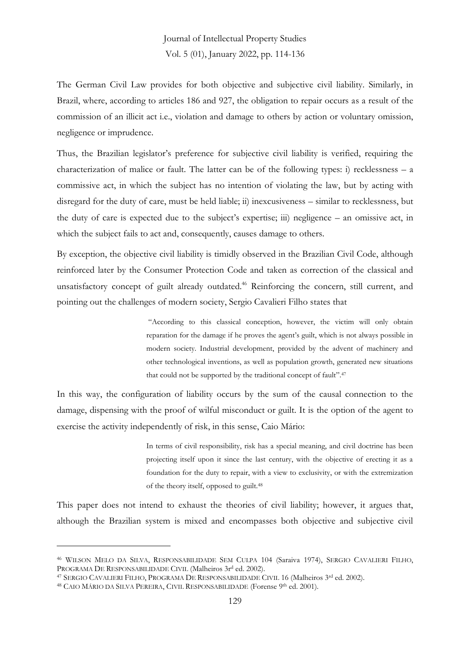The German Civil Law provides for both objective and subjective civil liability. Similarly, in Brazil, where, according to articles 186 and 927, the obligation to repair occurs as a result of the commission of an illicit act i.e., violation and damage to others by action or voluntary omission, negligence or imprudence.

Thus, the Brazilian legislator's preference for subjective civil liability is verified, requiring the characterization of malice or fault. The latter can be of the following types: i) recklessness  $- a$ commissive act, in which the subject has no intention of violating the law, but by acting with disregard for the duty of care, must be held liable; ii) inexcusiveness – similar to recklessness, but the duty of care is expected due to the subject's expertise; iii) negligence – an omissive act, in which the subject fails to act and, consequently, causes damage to others.

By exception, the objective civil liability is timidly observed in the Brazilian Civil Code, although reinforced later by the Consumer Protection Code and taken as correction of the classical and unsatisfactory concept of guilt already outdated.<sup>46</sup> Reinforcing the concern, still current, and pointing out the challenges of modern society, Sergio Cavalieri Filho states that

> "According to this classical conception, however, the victim will only obtain reparation for the damage if he proves the agent's guilt, which is not always possible in modern society. Industrial development, provided by the advent of machinery and other technological inventions, as well as population growth, generated new situations that could not be supported by the traditional concept of fault".<sup>47</sup>

In this way, the configuration of liability occurs by the sum of the causal connection to the damage, dispensing with the proof of wilful misconduct or guilt. It is the option of the agent to exercise the activity independently of risk, in this sense, Caio Mário:

> In terms of civil responsibility, risk has a special meaning, and civil doctrine has been projecting itself upon it since the last century, with the objective of erecting it as a foundation for the duty to repair, with a view to exclusivity, or with the extremization of the theory itself, opposed to guilt.<sup>48</sup>

This paper does not intend to exhaust the theories of civil liability; however, it argues that, although the Brazilian system is mixed and encompasses both objective and subjective civil

<sup>46</sup> WILSON MELO DA SILVA, RESPONSABILIDADE SEM CULPA 104 (Saraiva 1974), SERGIO CAVALIERI FILHO, PROGRAMA DE RESPONSABILIDADE CIVIL (Malheiros 3r<sup>d</sup> ed. 2002).

<sup>&</sup>lt;sup>47</sup> SERGIO CAVALIERI FILHO, PROGRAMA DE RESPONSABILIDADE CIVIL 16 (Malheiros <sup>3rd</sup> ed. 2002).

<sup>&</sup>lt;sup>48</sup> CAIO MÁRIO DA SILVA PEREIRA, CIVIL RESPONSABILIDADE (Forense 9<sup>th</sup> ed. 2001).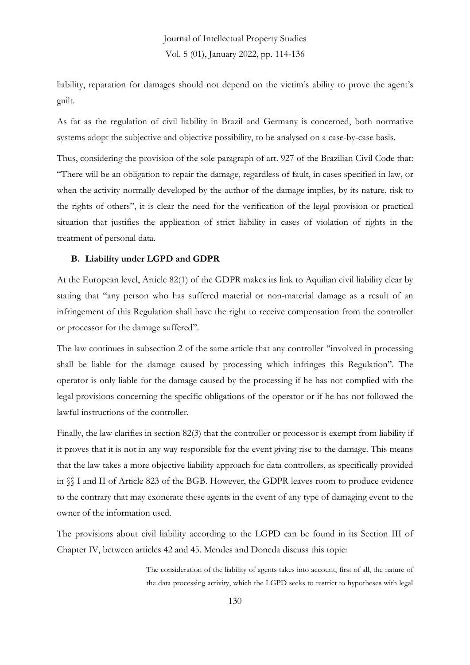liability, reparation for damages should not depend on the victim's ability to prove the agent's guilt.

As far as the regulation of civil liability in Brazil and Germany is concerned, both normative systems adopt the subjective and objective possibility, to be analysed on a case-by-case basis.

Thus, considering the provision of the sole paragraph of art. 927 of the Brazilian Civil Code that: "There will be an obligation to repair the damage, regardless of fault, in cases specified in law, or when the activity normally developed by the author of the damage implies, by its nature, risk to the rights of others", it is clear the need for the verification of the legal provision or practical situation that justifies the application of strict liability in cases of violation of rights in the treatment of personal data.

#### **B. Liability under LGPD and GDPR**

At the European level, Article 82(1) of the GDPR makes its link to Aquilian civil liability clear by stating that "any person who has suffered material or non-material damage as a result of an infringement of this Regulation shall have the right to receive compensation from the controller or processor for the damage suffered".

The law continues in subsection 2 of the same article that any controller "involved in processing shall be liable for the damage caused by processing which infringes this Regulation". The operator is only liable for the damage caused by the processing if he has not complied with the legal provisions concerning the specific obligations of the operator or if he has not followed the lawful instructions of the controller.

Finally, the law clarifies in section 82(3) that the controller or processor is exempt from liability if it proves that it is not in any way responsible for the event giving rise to the damage. This means that the law takes a more objective liability approach for data controllers, as specifically provided in §§ I and II of Article 823 of the BGB. However, the GDPR leaves room to produce evidence to the contrary that may exonerate these agents in the event of any type of damaging event to the owner of the information used.

The provisions about civil liability according to the LGPD can be found in its Section III of Chapter IV, between articles 42 and 45. Mendes and Doneda discuss this topic:

> The consideration of the liability of agents takes into account, first of all, the nature of the data processing activity, which the LGPD seeks to restrict to hypotheses with legal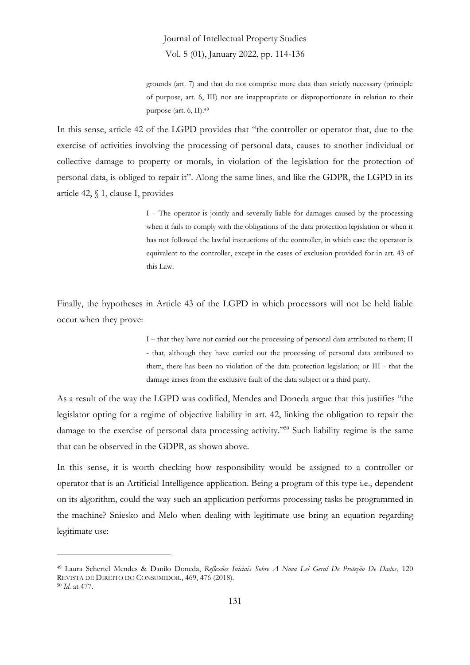grounds (art. 7) and that do not comprise more data than strictly necessary (principle of purpose, art. 6, III) nor are inappropriate or disproportionate in relation to their purpose (art. 6, II).<sup>49</sup>

In this sense, article 42 of the LGPD provides that "the controller or operator that, due to the exercise of activities involving the processing of personal data, causes to another individual or collective damage to property or morals, in violation of the legislation for the protection of personal data, is obliged to repair it". Along the same lines, and like the GDPR, the LGPD in its article 42, § 1, clause I, provides

> I – The operator is jointly and severally liable for damages caused by the processing when it fails to comply with the obligations of the data protection legislation or when it has not followed the lawful instructions of the controller, in which case the operator is equivalent to the controller, except in the cases of exclusion provided for in art. 43 of this Law.

Finally, the hypotheses in Article 43 of the LGPD in which processors will not be held liable occur when they prove:

> I – that they have not carried out the processing of personal data attributed to them; II - that, although they have carried out the processing of personal data attributed to them, there has been no violation of the data protection legislation; or III - that the damage arises from the exclusive fault of the data subject or a third party.

As a result of the way the LGPD was codified, Mendes and Doneda argue that this justifies "the legislator opting for a regime of objective liability in art. 42, linking the obligation to repair the damage to the exercise of personal data processing activity." <sup>50</sup> Such liability regime is the same that can be observed in the GDPR, as shown above.

In this sense, it is worth checking how responsibility would be assigned to a controller or operator that is an Artificial Intelligence application. Being a program of this type i.e., dependent on its algorithm, could the way such an application performs processing tasks be programmed in the machine? Sniesko and Melo when dealing with legitimate use bring an equation regarding legitimate use:

<sup>49</sup> Laura Schertel Mendes & Danilo Doneda, *Reflexões Iniciais Sobre A Nova Lei Geral De Proteção De Dados*, 120 REVISTA DE DIREITO DO CONSUMIDOR., 469, 476 (2018).

<sup>50</sup> *Id.* at 477.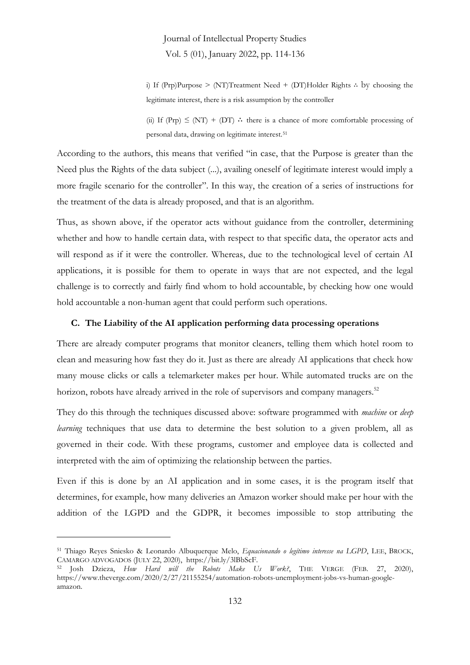i) If (Prp)Purpose > (NT)Treatment Need + (DT)Holder Rights ∴ by choosing the legitimate interest, there is a risk assumption by the controller

(ii) If (Prp)  $\leq$  (NT) + (DT)  $\therefore$  there is a chance of more comfortable processing of personal data, drawing on legitimate interest.<sup>51</sup>

According to the authors, this means that verified "in case, that the Purpose is greater than the Need plus the Rights of the data subject (...), availing oneself of legitimate interest would imply a more fragile scenario for the controller". In this way, the creation of a series of instructions for the treatment of the data is already proposed, and that is an algorithm.

Thus, as shown above, if the operator acts without guidance from the controller, determining whether and how to handle certain data, with respect to that specific data, the operator acts and will respond as if it were the controller. Whereas, due to the technological level of certain AI applications, it is possible for them to operate in ways that are not expected, and the legal challenge is to correctly and fairly find whom to hold accountable, by checking how one would hold accountable a non-human agent that could perform such operations.

#### **C. The Liability of the AI application performing data processing operations**

There are already computer programs that monitor cleaners, telling them which hotel room to clean and measuring how fast they do it. Just as there are already AI applications that check how many mouse clicks or calls a telemarketer makes per hour. While automated trucks are on the horizon, robots have already arrived in the role of supervisors and company managers.<sup>52</sup>

They do this through the techniques discussed above: software programmed with *machine* or *deep learning* techniques that use data to determine the best solution to a given problem, all as governed in their code. With these programs, customer and employee data is collected and interpreted with the aim of optimizing the relationship between the parties.

Even if this is done by an AI application and in some cases, it is the program itself that determines, for example, how many deliveries an Amazon worker should make per hour with the addition of the LGPD and the GDPR, it becomes impossible to stop attributing the

<sup>51</sup> Thiago Reyes Sniesko & Leonardo Albuquerque Melo, *Equacionando o legítimo interesse na LGPD*, LEE, BROCK, CAMARGO ADVOGADOS (JULY 22, 2020), https://bit.ly/3lBbScF.

<sup>52</sup> Josh Dzieza, *How Hard will the Robots Make Us Work?*, THE VERGE (FEB. 27, 2020), https://www.theverge.com/2020/2/27/21155254/automation-robots-unemployment-jobs-vs-human-googleamazon.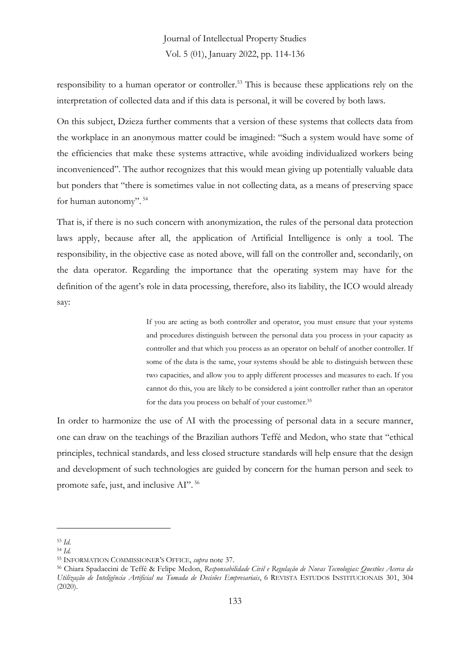responsibility to a human operator or controller.<sup>53</sup> This is because these applications rely on the interpretation of collected data and if this data is personal, it will be covered by both laws.

On this subject, Dzieza further comments that a version of these systems that collects data from the workplace in an anonymous matter could be imagined: "Such a system would have some of the efficiencies that make these systems attractive, while avoiding individualized workers being inconvenienced". The author recognizes that this would mean giving up potentially valuable data but ponders that "there is sometimes value in not collecting data, as a means of preserving space for human autonomy". <sup>54</sup>

That is, if there is no such concern with anonymization, the rules of the personal data protection laws apply, because after all, the application of Artificial Intelligence is only a tool. The responsibility, in the objective case as noted above, will fall on the controller and, secondarily, on the data operator. Regarding the importance that the operating system may have for the definition of the agent's role in data processing, therefore, also its liability, the ICO would already say:

> If you are acting as both controller and operator, you must ensure that your systems and procedures distinguish between the personal data you process in your capacity as controller and that which you process as an operator on behalf of another controller. If some of the data is the same, your systems should be able to distinguish between these two capacities, and allow you to apply different processes and measures to each. If you cannot do this, you are likely to be considered a joint controller rather than an operator for the data you process on behalf of your customer.<sup>55</sup>

In order to harmonize the use of AI with the processing of personal data in a secure manner, one can draw on the teachings of the Brazilian authors Teffé and Medon, who state that "ethical principles, technical standards, and less closed structure standards will help ensure that the design and development of such technologies are guided by concern for the human person and seek to promote safe, just, and inclusive AI". <sup>56</sup>

<sup>53</sup> *Id.*

<sup>54</sup> *Id.*

<sup>55</sup> INFORMATION COMMISSIONER'S OFFICE, *supra* note 37.

<sup>56</sup> Chiara Spadaccini de Teffé & Felipe Medon, *Responsabilidade Civil e Regulação de Novas Tecnologias: Questões Acerca da Utilização de Inteligência Artificial na Tomada de Decisões Empresariais*, 6 REVISTA ESTUDOS INSTITUCIONAIS 301, 304 (2020).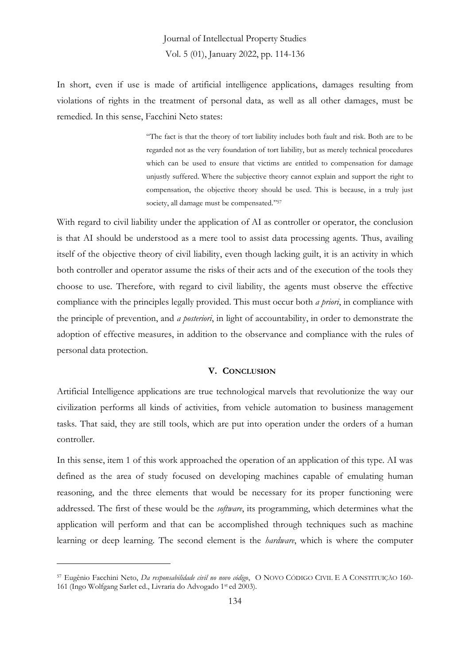In short, even if use is made of artificial intelligence applications, damages resulting from violations of rights in the treatment of personal data, as well as all other damages, must be remedied. In this sense, Facchini Neto states:

> "The fact is that the theory of tort liability includes both fault and risk. Both are to be regarded not as the very foundation of tort liability, but as merely technical procedures which can be used to ensure that victims are entitled to compensation for damage unjustly suffered. Where the subjective theory cannot explain and support the right to compensation, the objective theory should be used. This is because, in a truly just society, all damage must be compensated." 57

With regard to civil liability under the application of AI as controller or operator, the conclusion is that AI should be understood as a mere tool to assist data processing agents. Thus, availing itself of the objective theory of civil liability, even though lacking guilt, it is an activity in which both controller and operator assume the risks of their acts and of the execution of the tools they choose to use. Therefore, with regard to civil liability, the agents must observe the effective compliance with the principles legally provided. This must occur both *a priori*, in compliance with the principle of prevention, and *a posteriori*, in light of accountability, in order to demonstrate the adoption of effective measures, in addition to the observance and compliance with the rules of personal data protection.

#### **V. CONCLUSION**

Artificial Intelligence applications are true technological marvels that revolutionize the way our civilization performs all kinds of activities, from vehicle automation to business management tasks. That said, they are still tools, which are put into operation under the orders of a human controller.

In this sense, item 1 of this work approached the operation of an application of this type. AI was defined as the area of study focused on developing machines capable of emulating human reasoning, and the three elements that would be necessary for its proper functioning were addressed. The first of these would be the *software*, its programming, which determines what the application will perform and that can be accomplished through techniques such as machine learning or deep learning. The second element is the *hardware*, which is where the computer

<sup>57</sup> Eugênio Facchini Neto, *Da responsabilidade civil no novo código*, O NOVO CÓDIGO CIVIL E A CONSTITUIÇÃO 160- 161 (Ingo Wolfgang Sarlet ed., Livraria do Advogado 1 st ed 2003).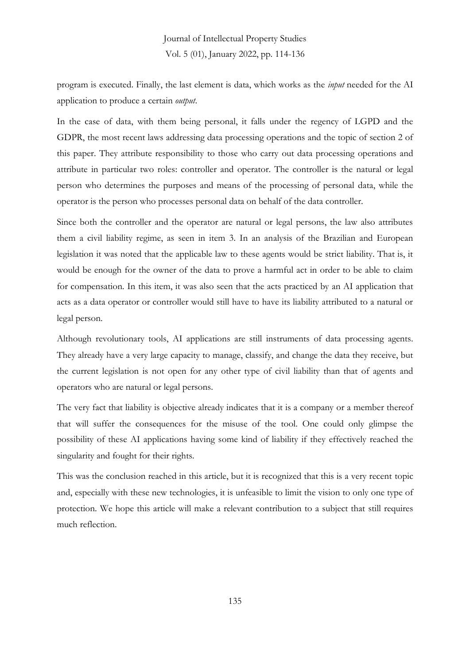program is executed. Finally, the last element is data, which works as the *input* needed for the AI application to produce a certain *output*.

In the case of data, with them being personal, it falls under the regency of LGPD and the GDPR, the most recent laws addressing data processing operations and the topic of section 2 of this paper. They attribute responsibility to those who carry out data processing operations and attribute in particular two roles: controller and operator. The controller is the natural or legal person who determines the purposes and means of the processing of personal data, while the operator is the person who processes personal data on behalf of the data controller.

Since both the controller and the operator are natural or legal persons, the law also attributes them a civil liability regime, as seen in item 3. In an analysis of the Brazilian and European legislation it was noted that the applicable law to these agents would be strict liability. That is, it would be enough for the owner of the data to prove a harmful act in order to be able to claim for compensation. In this item, it was also seen that the acts practiced by an AI application that acts as a data operator or controller would still have to have its liability attributed to a natural or legal person.

Although revolutionary tools, AI applications are still instruments of data processing agents. They already have a very large capacity to manage, classify, and change the data they receive, but the current legislation is not open for any other type of civil liability than that of agents and operators who are natural or legal persons.

The very fact that liability is objective already indicates that it is a company or a member thereof that will suffer the consequences for the misuse of the tool. One could only glimpse the possibility of these AI applications having some kind of liability if they effectively reached the singularity and fought for their rights.

This was the conclusion reached in this article, but it is recognized that this is a very recent topic and, especially with these new technologies, it is unfeasible to limit the vision to only one type of protection. We hope this article will make a relevant contribution to a subject that still requires much reflection.